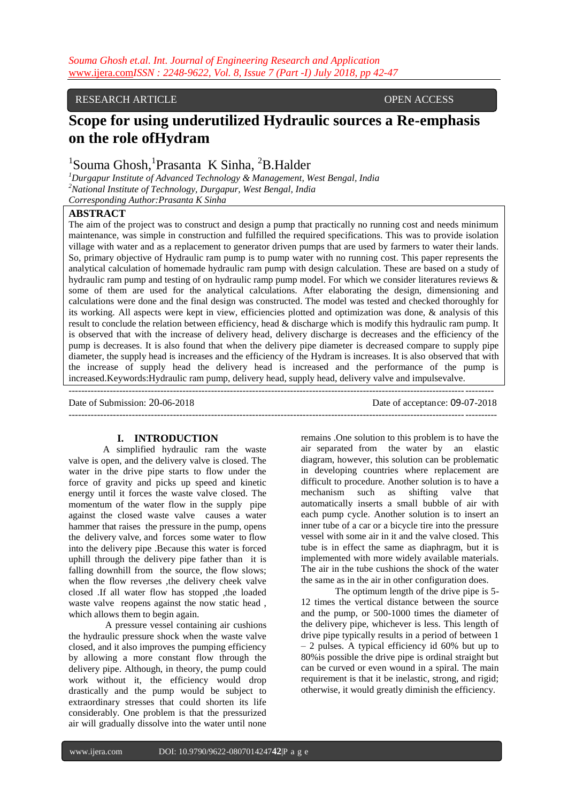## RESEARCH ARTICLE OPEN ACCESS

# **Scope for using underutilized Hydraulic sources a Re-emphasis on the role ofHydram**

## <sup>1</sup>Souma Ghosh, <sup>1</sup>Prasanta K Sinha, <sup>2</sup>B.Halder

*<sup>1</sup>Durgapur Institute of Advanced Technology & Management, West Bengal, India <sup>2</sup>National Institute of Technology, Durgapur, West Bengal, India Corresponding Author:Prasanta K Sinha*

## **ABSTRACT**

The aim of the project was to construct and design a pump that practically no running cost and needs minimum maintenance, was simple in construction and fulfilled the required specifications. This was to provide isolation village with water and as a replacement to generator driven pumps that are used by farmers to water their lands. So, primary objective of Hydraulic ram pump is to pump water with no running cost. This paper represents the analytical calculation of homemade hydraulic ram pump with design calculation. These are based on a study of hydraulic ram pump and testing of on hydraulic ramp pump model. For which we consider literatures reviews & some of them are used for the analytical calculations. After elaborating the design, dimensioning and calculations were done and the final design was constructed. The model was tested and checked thoroughly for its working. All aspects were kept in view, efficiencies plotted and optimization was done, & analysis of this result to conclude the relation between efficiency, head & discharge which is modify this hydraulic ram pump. It is observed that with the increase of delivery head, delivery discharge is decreases and the efficiency of the pump is decreases. It is also found that when the delivery pipe diameter is decreased compare to supply pipe diameter, the supply head is increases and the efficiency of the Hydram is increases. It is also observed that with the increase of supply head the delivery head is increased and the performance of the pump is increased.Keywords:Hydraulic ram pump, delivery head, supply head, delivery valve and impulsevalve.

-------------------------------------------------------------------------------------------------------------------------------------- Date of Submission: 20-06-2018 Date of acceptance: 09-07-2018 ---------------------------------------------------------------------------------------------------------------------------------------

## **I. INTRODUCTION**

A simplified hydraulic ram the waste valve is open, and the delivery valve is closed. The water in the drive pipe starts to flow under the force of gravity and picks up speed and kinetic energy until it forces the waste valve closed. The momentum of the water flow in the supply pipe against the closed waste valve causes a water hammer that raises the pressure in the pump, opens the delivery valve, and forces some water to flow into the delivery pipe .Because this water is forced uphill through the delivery pipe father than it is falling downhill from the source, the flow slows: when the flow reverses , the delivery cheek valve closed .If all water flow has stopped ,the loaded waste valve reopens against the now static head , which allows them to begin again.

A pressure vessel containing air cushions the hydraulic pressure shock when the waste valve closed, and it also improves the pumping efficiency by allowing a more constant flow through the delivery pipe. Although, in theory, the pump could work without it, the efficiency would drop drastically and the pump would be subject to extraordinary stresses that could shorten its life considerably. One problem is that the pressurized air will gradually dissolve into the water until none

remains .One solution to this problem is to have the air separated from the water by an elastic diagram, however, this solution can be problematic in developing countries where replacement are difficult to procedure. Another solution is to have a mechanism such as shifting valve that automatically inserts a small bubble of air with each pump cycle. Another solution is to insert an inner tube of a car or a bicycle tire into the pressure vessel with some air in it and the valve closed. This tube is in effect the same as diaphragm, but it is implemented with more widely available materials. The air in the tube cushions the shock of the water the same as in the air in other configuration does.

The optimum length of the drive pipe is 5- 12 times the vertical distance between the source and the pump, or 500-1000 times the diameter of the delivery pipe, whichever is less. This length of drive pipe typically results in a period of between 1 – 2 pulses. A typical efficiency id 60% but up to 80%is possible the drive pipe is ordinal straight but can be curved or even wound in a spiral. The main requirement is that it be inelastic, strong, and rigid; otherwise, it would greatly diminish the efficiency.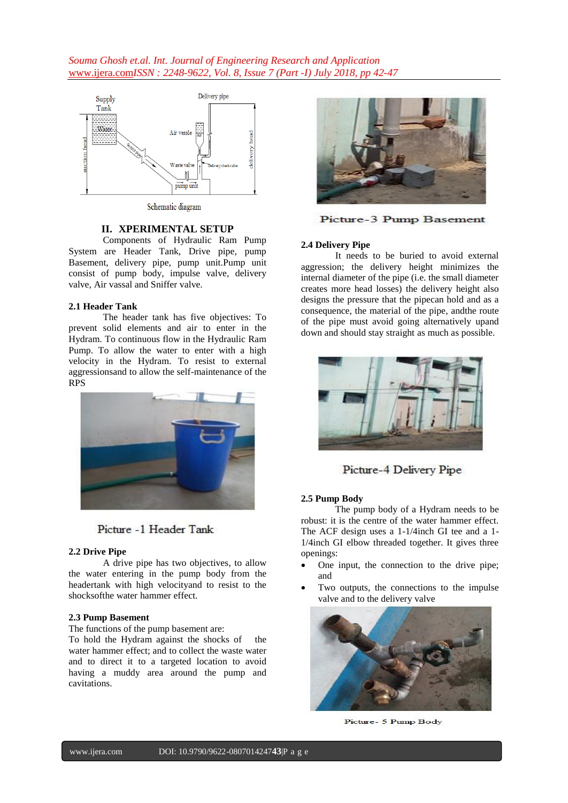*Souma Ghosh et.al. Int. Journal of Engineering Research and Application*  www.ijera.com*ISSN : 2248-9622, Vol. 8, Issue 7 (Part -I) July 2018, pp 42-47*



Schematic diagram

## **II. XPERIMENTAL SETUP**

Components of Hydraulic Ram Pump System are Header Tank, Drive pipe, pump Basement, delivery pipe, pump unit.Pump unit consist of pump body, impulse valve, delivery valve, Air vassal and Sniffer valve.

#### **2.1 Header Tank**

The header tank has five objectives: To prevent solid elements and air to enter in the Hydram. To continuous flow in the Hydraulic Ram Pump. To allow the water to enter with a high velocity in the Hydram. To resist to external aggressionsand to allow the self-maintenance of the RPS



## Picture -1 Header Tank

#### **2.2 Drive Pipe**

A drive pipe has two objectives, to allow the water entering in the pump body from the headertank with high velocityand to resist to the shocksofthe water hammer effect.

#### **2.3 Pump Basement**

The functions of the pump basement are:

To hold the Hydram against the shocks of the water hammer effect; and to collect the waste water and to direct it to a targeted location to avoid having a muddy area around the pump and cavitations.



Picture-3 Pump Basement

#### **2.4 Delivery Pipe**

It needs to be buried to avoid external aggression; the delivery height minimizes the internal diameter of the pipe (i.e. the small diameter creates more head losses) the delivery height also designs the pressure that the pipecan hold and as a consequence, the material of the pipe, andthe route of the pipe must avoid going alternatively upand down and should stay straight as much as possible.



Picture-4 Delivery Pipe

#### **2.5 Pump Body**

The pump body of a Hydram needs to be robust: it is the centre of the water hammer effect. The ACF design uses a 1-1/4inch GI tee and a 1- 1/4inch GI elbow threaded together. It gives three openings:

- One input, the connection to the drive pipe; and
- Two outputs, the connections to the impulse valve and to the delivery valve



Picture- 5 Pump Body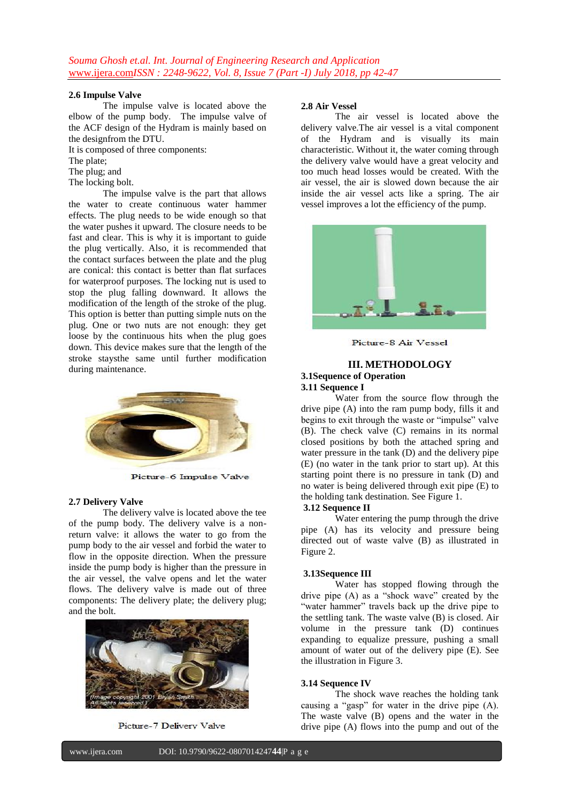#### **2.6 Impulse Valve**

The impulse valve is located above the elbow of the pump body.**17**The impulse valve of the ACF design of the Hydram is mainly based on the designfrom the DTU.

It is composed of three components:

The plate;

The plug; and

The locking bolt.

The impulse valve is the part that allows the water to create continuous water hammer effects. The plug needs to be wide enough so that the water pushes it upward. The closure needs to be fast and clear. This is why it is important to guide the plug vertically. Also, it is recommended that the contact surfaces between the plate and the plug are conical: this contact is better than flat surfaces for waterproof purposes. The locking nut is used to stop the plug falling downward. It allows the modification of the length of the stroke of the plug. This option is better than putting simple nuts on the plug. One or two nuts are not enough: they get loose by the continuous hits when the plug goes down. This device makes sure that the length of the stroke staysthe same until further modification during maintenance.



Picture-6 Impulse Valve

## **2.7 Delivery Valve**

The delivery valve is located above the tee of the pump body. The delivery valve is a nonreturn valve: it allows the water to go from the pump body to the air vessel and forbid the water to flow in the opposite direction. When the pressure inside the pump body is higher than the pressure in the air vessel, the valve opens and let the water flows. The delivery valve is made out of three components: The delivery plate; the delivery plug; and the bolt.



Picture-7 Delivery Valve

## **2.8 Air Vessel**

The air vessel is located above the delivery valve.The air vessel is a vital component of the Hydram and is visually its main characteristic. Without it, the water coming through the delivery valve would have a great velocity and too much head losses would be created. With the air vessel, the air is slowed down because the air inside the air vessel acts like a spring. The air vessel improves a lot the efficiency of the pump.



Picture-8 Air Vessel

## **III. METHODOLOGY**

#### **3.1Sequence of Operation 3.11 Sequence I**

Water from the source flow through the drive pipe (A) into the ram pump body, fills it and begins to exit through the waste or "impulse" valve (B). The check valve (C) remains in its normal closed positions by both the attached spring and water pressure in the tank (D) and the delivery pipe (E) (no water in the tank prior to start up). At this starting point there is no pressure in tank (D) and no water is being delivered through exit pipe (E) to the holding tank destination. See Figure 1.

## **3.12 Sequence II**

Water entering the pump through the drive pipe (A) has its velocity and pressure being directed out of waste valve (B) as illustrated in Figure 2.

## **3.13Sequence III**

Water has stopped flowing through the drive pipe (A) as a "shock wave" created by the "water hammer" travels back up the drive pipe to the settling tank. The waste valve (B) is closed. Air volume in the pressure tank (D) continues expanding to equalize pressure, pushing a small amount of water out of the delivery pipe (E). See the illustration in Figure 3.

#### **3.14 Sequence IV**

The shock wave reaches the holding tank causing a "gasp" for water in the drive pipe (A). The waste valve (B) opens and the water in the drive pipe (A) flows into the pump and out of the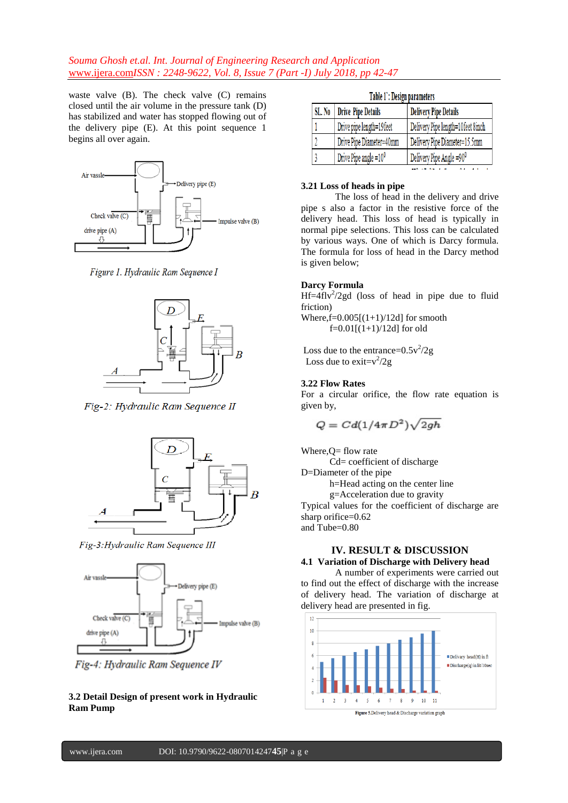## *Souma Ghosh et.al. Int. Journal of Engineering Research and Application*  www.ijera.com*ISSN : 2248-9622, Vol. 8, Issue 7 (Part -I) July 2018, pp 42-47*

waste valve (B). The check valve (C) remains closed until the air volume in the pressure tank (D) has stabilized and water has stopped flowing out of the delivery pipe (E). At this point sequence 1 begins all over again.



Figure 1. Hydraulic Ram Sequence I



Fig-2: Hydraulic Ram Sequence II



Fig-3: Hydraulic Ram Sequence III



Fig-4: Hydraulic Ram Sequence IV

**3.2 Detail Design of present work in Hydraulic Ram Pump**

| Table 1: Design parameters |  |
|----------------------------|--|
|----------------------------|--|

| SL. No | <b>Drive Pipe Details</b> | <b>Delivery Pipe Details</b>         |
|--------|---------------------------|--------------------------------------|
|        | Drive pipe length=19feet  | Delivery Pipe length=10feet 8inch    |
|        | Drive Pipe Diameter=40mm  | Delivery Pipe Diameter=15.5mm        |
|        | Drive Pipe angle $=10^0$  | Delivery Pipe Angle =90 <sup>0</sup> |
|        |                           |                                      |

#### **3.21 Loss of heads in pipe**

The loss of head in the delivery and drive pipe s also a factor in the resistive force of the delivery head. This loss of head is typically in normal pipe selections. This loss can be calculated by various ways. One of which is Darcy formula. The formula for loss of head in the Darcy method is given below;

#### **Darcy Formula**

 $Hf=4flv^2/2gd$  (loss of head in pipe due to fluid friction)

Where, $f=0.005[(1+1)/12d]$  for smooth  $f=0.01[(1+1)/12d]$  for old

Loss due to the entrance= $0.5v^2/2g$ Loss due to exit= $v^2/2g$ 

## **3.22 Flow Rates**

For a circular orifice, the flow rate equation is given by,

$$
Q = C d(1/4\pi D^2) \sqrt{2gh}
$$

Where, $Q=$  flow rate

Cd= coefficient of discharge

D=Diameter of the pipe

h=Head acting on the center line

g=Acceleration due to gravity

Typical values for the coefficient of discharge are sharp orifice=0.62 and Tube=0.80

## **IV. RESULT & DISCUSSION 4.1 Variation of Discharge with Delivery head**

A number of experiments were carried out to find out the effect of discharge with the increase of delivery head. The variation of discharge at delivery head are presented in fig.

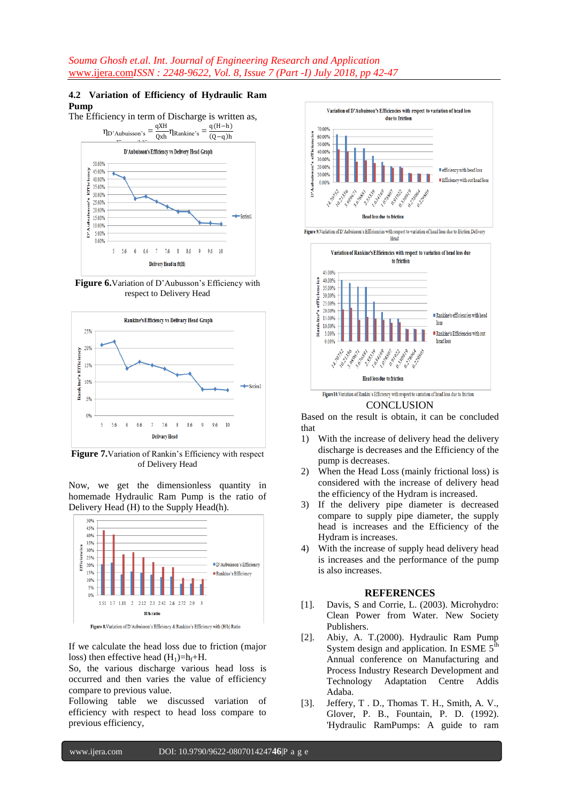## **4.2 Variation of Efficiency of Hydraulic Ram Pump**

The Efficiency in term of Discharge is written as,  $q(H-h)$  $η_D$ 'Aubuisson's  $=$   $\frac{qXH}{Qx}$  $\eta$ Rankine's  $(0 - a)h$ Qxh D'Aubuisson's Efficiency vs Delivery Head Graph 50.00%  $\frac{5}{9}$  45.00% 40.00%  $\begin{array}{r}\n 240.00\% \\
\phantom{0}25.00\% \\
\phantom{0}35.00\% \\
\phantom{0}43.000\% \end{array}$  $\begin{array}{r}\n 30.00\% \\
\hline\n 25.00\% \\
20.00\% \\
\hline\n 15.00\% \\
\hline\n 10.00\% \\
\end{array}$ Å 5.00% 0.00%  $5 - 56$  $666$ 7 76 8 86 9 96 10 Delivery Head in ft(H)

**Figure 6.**Variation of D'Aubusson's Efficiency with respect to Delivery Head



**Figure 7.**Variation of Rankin's Efficiency with respect of Delivery Head

Now, we get the dimensionless quantity in homemade Hydraulic Ram Pump is the ratio of Delivery Head (H) to the Supply Head(h).



If we calculate the head loss due to friction (major loss) then effective head  $(H_1)=h_f+H$ .

So, the various discharge various head loss is occurred and then varies the value of efficiency compare to previous value.

Following table we discussed variation of efficiency with respect to head loss compare to previous efficiency,



Based on the result is obtain, it can be concluded that

- 1) With the increase of delivery head the delivery discharge is decreases and the Efficiency of the pump is decreases.
- 2) When the Head Loss (mainly frictional loss) is considered with the increase of delivery head the efficiency of the Hydram is increased.
- 3) If the delivery pipe diameter is decreased compare to supply pipe diameter, the supply head is increases and the Efficiency of the Hydram is increases.
- 4) With the increase of supply head delivery head is increases and the performance of the pump is also increases.

#### **REFERENCES**

- [1]. Davis, S and Corrie, L. (2003). Microhydro: Clean Power from Water. New Society Publishers.
- [2]. Abiy, A. T.(2000). Hydraulic Ram Pump System design and application. In ESME 5<sup>th</sup> Annual conference on Manufacturing and Process Industry Research Development and Technology Adaptation Centre Addis Adaba.
- [3]. Jeffery, T . D., Thomas T. H., Smith, A. V., Glover, P. B., Fountain, P. D. (1992). 'Hydraulic RamPumps: A guide to ram